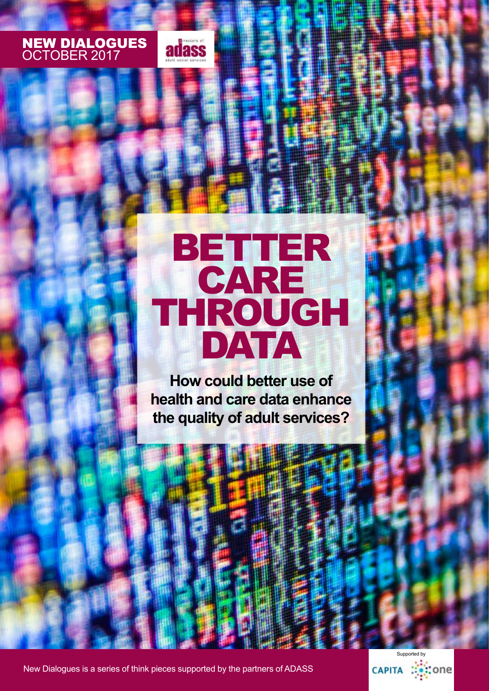# NEW DIALOGUES OCTOBER 2017



# BETTER CARE THROUGH DATA

**How could better use of health and care data enhance the quality of adult services?**

New Dialogues is a series of think pieces supported by the partners of ADASS

Supported byCAPITA :::: : : :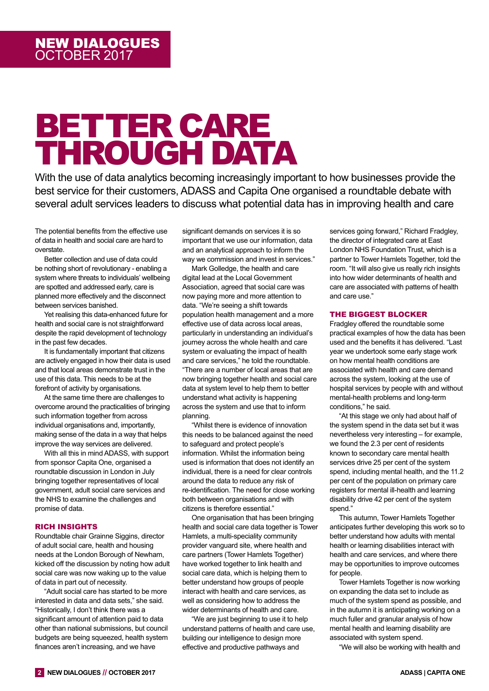# BETTER CARE THROUGH DATA

With the use of data analytics becoming increasingly important to how businesses provide the best service for their customers, ADASS and Capita One organised a roundtable debate with several adult services leaders to discuss what potential data has in improving health and care

The potential benefits from the effective use of data in health and social care are hard to overstate.

Better collection and use of data could be nothing short of revolutionary - enabling a system where threats to individuals' wellbeing are spotted and addressed early, care is planned more effectively and the disconnect between services banished.

Yet realising this data-enhanced future for health and social care is not straightforward despite the rapid development of technology in the past few decades.

It is fundamentally important that citizens are actively engaged in how their data is used and that local areas demonstrate trust in the use of this data. This needs to be at the forefront of activity by organisations.

At the same time there are challenges to overcome around the practicalities of bringing such information together from across individual organisations and, importantly, making sense of the data in a way that helps improve the way services are delivered.

With all this in mind ADASS, with support from sponsor Capita One, organised a roundtable discussion in London in July bringing together representatives of local government, adult social care services and the NHS to examine the challenges and promise of data.

## RICH INSIGHTS

Roundtable chair Grainne Siggins, director of adult social care, health and housing needs at the London Borough of Newham, kicked off the discussion by noting how adult social care was now waking up to the value of data in part out of necessity.

"Adult social care has started to be more interested in data and data sets," she said. "Historically, I don't think there was a significant amount of attention paid to data other than national submissions, but council budgets are being squeezed, health system finances aren't increasing, and we have

significant demands on services it is so important that we use our information, data and an analytical approach to inform the way we commission and invest in services."

Mark Golledge, the health and care digital lead at the Local Government Association, agreed that social care was now paying more and more attention to data. "We're seeing a shift towards population health management and a more effective use of data across local areas, particularly in understanding an individual's journey across the whole health and care system or evaluating the impact of health and care services," he told the roundtable. "There are a number of local areas that are now bringing together health and social care data at system level to help them to better understand what activity is happening across the system and use that to inform planning.

"Whilst there is evidence of innovation this needs to be balanced against the need to safeguard and protect people's information. Whilst the information being used is information that does not identify an individual, there is a need for clear controls around the data to reduce any risk of re-identification. The need for close working both between organisations and with citizens is therefore essential."

One organisation that has been bringing health and social care data together is Tower Hamlets, a multi-speciality community provider vanguard site, where health and care partners (Tower Hamlets Together) have worked together to link health and social care data, which is helping them to better understand how groups of people interact with health and care services, as well as considering how to address the wider determinants of health and care.

"We are just beginning to use it to help understand patterns of health and care use, building our intelligence to design more effective and productive pathways and

services going forward," Richard Fradgley, the director of integrated care at East London NHS Foundation Trust, which is a partner to Tower Hamlets Together, told the room. "It will also give us really rich insights into how wider determinants of health and care are associated with patterns of health and care use."

## THE BIGGEST BLOCKER

Fradgley offered the roundtable some practical examples of how the data has been used and the benefits it has delivered. "Last year we undertook some early stage work on how mental health conditions are associated with health and care demand across the system, looking at the use of hospital services by people with and without mental-health problems and long-term conditions," he said.

"At this stage we only had about half of the system spend in the data set but it was nevertheless very interesting – for example, we found the 2.3 per cent of residents known to secondary care mental health services drive 25 per cent of the system spend, including mental health, and the 11.2 per cent of the population on primary care registers for mental ill-health and learning disability drive 42 per cent of the system spend."

This autumn, Tower Hamlets Together anticipates further developing this work so to better understand how adults with mental health or learning disabilities interact with health and care services, and where there may be opportunities to improve outcomes for people.

Tower Hamlets Together is now working on expanding the data set to include as much of the system spend as possible, and in the autumn it is anticipating working on a much fuller and granular analysis of how mental health and learning disability are associated with system spend.

"We will also be working with health and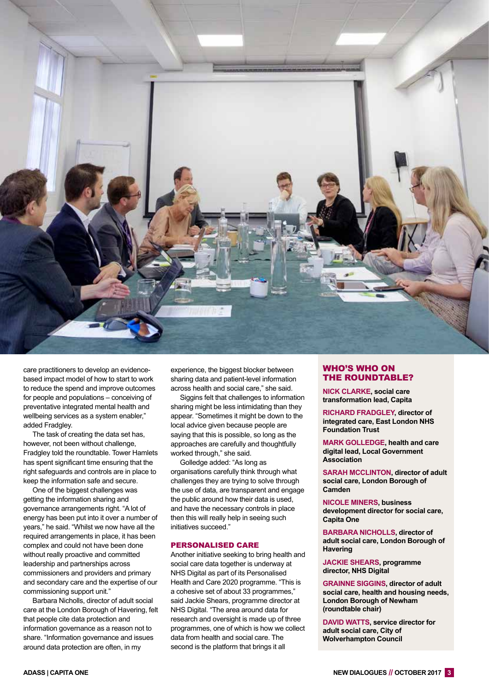

care practitioners to develop an evidencebased impact model of how to start to work to reduce the spend and improve outcomes for people and populations – conceiving of preventative integrated mental health and wellbeing services as a system enabler," added Fradgley.

The task of creating the data set has, however, not been without challenge, Fradgley told the roundtable. Tower Hamlets has spent significant time ensuring that the right safeguards and controls are in place to keep the information safe and secure.

One of the biggest challenges was getting the information sharing and governance arrangements right. "A lot of energy has been put into it over a number of years," he said. "Whilst we now have all the required arrangements in place, it has been complex and could not have been done without really proactive and committed leadership and partnerships across commissioners and providers and primary and secondary care and the expertise of our commissioning support unit."

Barbara Nicholls, director of adult social care at the London Borough of Havering, felt that people cite data protection and information governance as a reason not to share. "Information governance and issues around data protection are often, in my

experience, the biggest blocker between sharing data and patient-level information across health and social care," she said.

Siggins felt that challenges to information sharing might be less intimidating than they appear. "Sometimes it might be down to the local advice given because people are saying that this is possible, so long as the approaches are carefully and thoughtfully worked through," she said.

Golledge added: "As long as organisations carefully think through what challenges they are trying to solve through the use of data, are transparent and engage the public around how their data is used, and have the necessary controls in place then this will really help in seeing such initiatives succeed."

#### PERSONALISED CARE

Another initiative seeking to bring health and social care data together is underway at NHS Digital as part of its Personalised Health and Care 2020 programme. "This is a cohesive set of about 33 programmes," said Jackie Shears, programme director at NHS Digital. "The area around data for research and oversight is made up of three programmes, one of which is how we collect data from health and social care. The second is the platform that brings it all

## WHO'S WHO ON THE ROUNDTABLE?

**NICK CLARKE, social care transformation lead, Capita**

**RICHARD FRADGLEY, director of integrated care, East London NHS Foundation Trust**

**MARK GOLLEDGE, health and care digital lead, Local Government Association**

**SARAH MCCLINTON, director of adult social care, London Borough of Camden**

**NICOLE MINERS, business development director for social care, Capita One**

**BARBARA NICHOLLS, director of adult social care, London Borough of Havering**

**JACKIE SHEARS, programme director, NHS Digital**

**GRAINNE SIGGINS, director of adult social care, health and housing needs, London Borough of Newham (roundtable chair)**

**DAVID WATTS, service director for adult social care, City of Wolverhampton Council**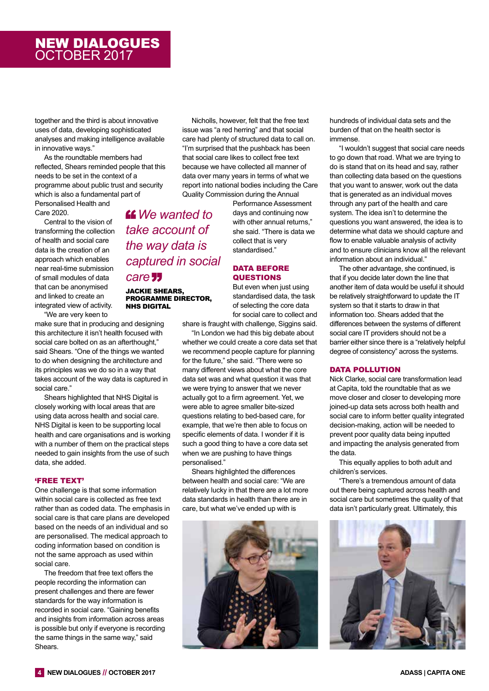## NEW DIALOGUES OCTOBER 2017

together and the third is about innovative uses of data, developing sophisticated analyses and making intelligence available in innovative ways."

As the roundtable members had reflected, Shears reminded people that this needs to be set in the context of a programme about public trust and security which is also a fundamental part of Personalised Health and

> *We wanted to take account of*

*the way data is* 

*care*

JACKIE SHEARS, PROGRAMME DIRECTOR,

NHS DIGITAL

*captured in social* 

Care 2020.

Central to the vision of transforming the collection of health and social care data is the creation of an approach which enables near real-time submission of small modules of data that can be anonymised and linked to create an integrated view of activity.

"We are very keen to

make sure that in producing and designing this architecture it isn't health focused with social care bolted on as an afterthought," said Shears. "One of the things we wanted to do when designing the architecture and its principles was we do so in a way that takes account of the way data is captured in social care."

Shears highlighted that NHS Digital is closely working with local areas that are using data across health and social care. NHS Digital is keen to be supporting local health and care organisations and is working with a number of them on the practical steps needed to gain insights from the use of such data, she added.

## 'FREE TEXT'

One challenge is that some information within social care is collected as free text rather than as coded data. The emphasis in social care is that care plans are developed based on the needs of an individual and so are personalised. The medical approach to coding information based on condition is not the same approach as used within social care.

The freedom that free text offers the people recording the information can present challenges and there are fewer standards for the way information is recorded in social care. "Gaining benefits and insights from information across areas is possible but only if everyone is recording the same things in the same way," said Shears.

Nicholls, however, felt that the free text issue was "a red herring" and that social care had plenty of structured data to call on. "I'm surprised that the pushback has been that social care likes to collect free text because we have collected all manner of data over many years in terms of what we report into national bodies including the Care Quality Commission during the Annual

> Performance Assessment days and continuing now with other annual returns." she said. "There is data we collect that is very standardised."

## DATA BEFORE QUESTIONS

But even when just using standardised data, the task of selecting the core data for social care to collect and

share is fraught with challenge, Siggins said.

"In London we had this big debate about whether we could create a core data set that we recommend people capture for planning for the future," she said. "There were so many different views about what the core data set was and what question it was that we were trying to answer that we never actually got to a firm agreement. Yet, we were able to agree smaller bite-sized questions relating to bed-based care, for example, that we're then able to focus on specific elements of data. I wonder if it is such a good thing to have a core data set when we are pushing to have things personalised."

Shears highlighted the differences between health and social care: "We are relatively lucky in that there are a lot more data standards in health than there are in care, but what we've ended up with is



hundreds of individual data sets and the burden of that on the health sector is immense.

"I wouldn't suggest that social care needs to go down that road. What we are trying to do is stand that on its head and say, rather than collecting data based on the questions that you want to answer, work out the data that is generated as an individual moves through any part of the health and care system. The idea isn't to determine the questions you want answered, the idea is to determine what data we should capture and flow to enable valuable analysis of activity and to ensure clinicians know all the relevant information about an individual."

The other advantage, she continued, is that if you decide later down the line that another item of data would be useful it should be relatively straightforward to update the IT system so that it starts to draw in that information too. Shears added that the differences between the systems of different social care IT providers should not be a barrier either since there is a "relatively helpful degree of consistency" across the systems.

## DATA POLLUTION

Nick Clarke, social care transformation lead at Capita, told the roundtable that as we move closer and closer to developing more joined-up data sets across both health and social care to inform better quality integrated decision-making, action will be needed to prevent poor quality data being inputted and impacting the analysis generated from the data.

This equally applies to both adult and children's services.

"There's a tremendous amount of data out there being captured across health and social care but sometimes the quality of that data isn't particularly great. Ultimately, this

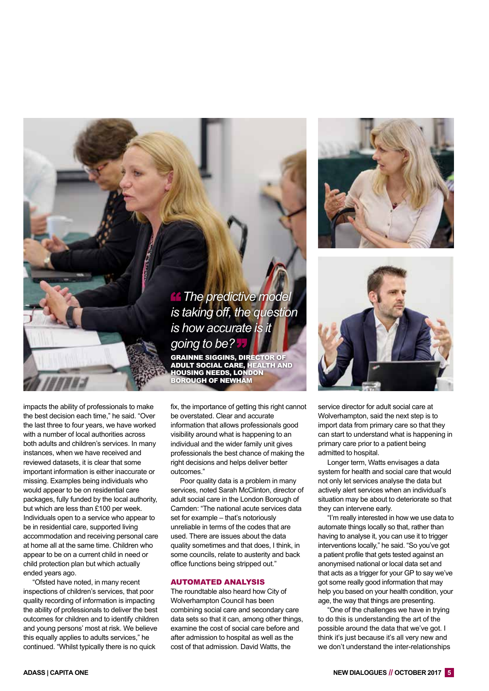

*is taking off, the question is how accurate is it going to be?* GRAINNE SIGGINS, DIRECTOR OF ADULT SOCIAL CARE, HEALTH AND HOUSING NEEDS, LONDON BOROUGH OF NEWHAM

impacts the ability of professionals to make the best decision each time," he said. "Over the last three to four years, we have worked with a number of local authorities across both adults and children's services. In many instances, when we have received and reviewed datasets, it is clear that some important information is either inaccurate or missing. Examples being individuals who would appear to be on residential care packages, fully funded by the local authority, but which are less than £100 per week. Individuals open to a service who appear to be in residential care, supported living accommodation and receiving personal care at home all at the same time. Children who appear to be on a current child in need or child protection plan but which actually ended years ago.

"Ofsted have noted, in many recent inspections of children's services, that poor quality recording of information is impacting the ability of professionals to deliver the best outcomes for children and to identify children and young persons' most at risk. We believe this equally applies to adults services," he continued. "Whilst typically there is no quick

fix, the importance of getting this right cannot be overstated. Clear and accurate information that allows professionals good visibility around what is happening to an individual and the wider family unit gives professionals the best chance of making the right decisions and helps deliver better outcomes."

Poor quality data is a problem in many services, noted Sarah McClinton, director of adult social care in the London Borough of Camden: "The national acute services data set for example – that's notoriously unreliable in terms of the codes that are used. There are issues about the data quality sometimes and that does, I think, in some councils, relate to austerity and back office functions being stripped out."

#### AUTOMATED ANALYSIS

The roundtable also heard how City of Wolverhampton Council has been combining social care and secondary care data sets so that it can, among other things, examine the cost of social care before and after admission to hospital as well as the cost of that admission. David Watts, the



Longer term, Watts envisages a data system for health and social care that would not only let services analyse the data but actively alert services when an individual's situation may be about to deteriorate so that they can intervene early.

"I'm really interested in how we use data to automate things locally so that, rather than having to analyse it, you can use it to trigger interventions locally," he said. "So you've got a patient profile that gets tested against an anonymised national or local data set and that acts as a trigger for your GP to say we've got some really good information that may help you based on your health condition, your age, the way that things are presenting.

"One of the challenges we have in trying to do this is understanding the art of the possible around the data that we've got. I think it's just because it's all very new and we don't understand the inter-relationships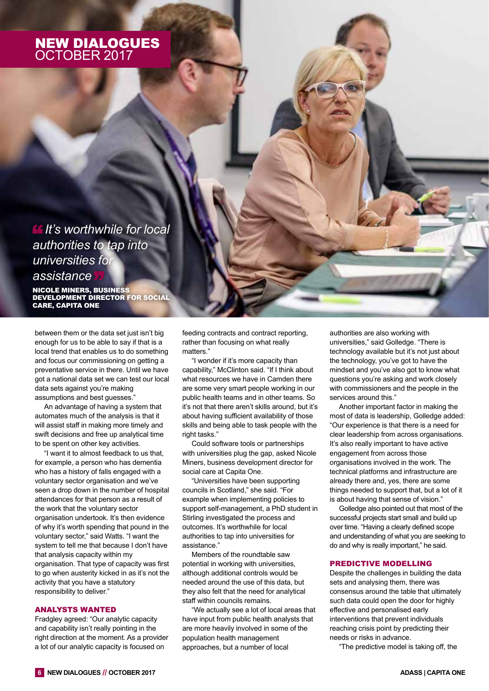# NEW DIALOGUES OCTOBER 2017

*It's worthwhile for local authorities to tap into universities for assistance*

NICOLE MINERS, BUSINESS DEVELOPMENT DIRECTOR FOR SOCIAL CARE, CAPITA ONE

between them or the data set just isn't big enough for us to be able to say if that is a local trend that enables us to do something and focus our commissioning on getting a preventative service in there. Until we have got a national data set we can test our local data sets against you're making assumptions and best guesses."

An advantage of having a system that automates much of the analysis is that it will assist staff in making more timely and swift decisions and free up analytical time to be spent on other key activities.

"I want it to almost feedback to us that, for example, a person who has dementia who has a history of falls engaged with a voluntary sector organisation and we've seen a drop down in the number of hospital attendances for that person as a result of the work that the voluntary sector organisation undertook. It's then evidence of why it's worth spending that pound in the voluntary sector," said Watts. "I want the system to tell me that because I don't have that analysis capacity within my organisation. That type of capacity was first to go when austerity kicked in as it's not the activity that you have a statutory responsibility to deliver."

#### ANALYSTS WANTED

Fradgley agreed: "Our analytic capacity and capability isn't really pointing in the right direction at the moment. As a provider a lot of our analytic capacity is focused on

feeding contracts and contract reporting, rather than focusing on what really matters."

"I wonder if it's more capacity than capability," McClinton said. "If I think about what resources we have in Camden there are some very smart people working in our public health teams and in other teams. So it's not that there aren't skills around, but it's about having sufficient availability of those skills and being able to task people with the right tasks."

Could software tools or partnerships with universities plug the gap, asked Nicole Miners, business development director for social care at Capita One.

"Universities have been supporting councils in Scotland," she said. "For example when implementing policies to support self-management, a PhD student in Stirling investigated the process and outcomes. It's worthwhile for local authorities to tap into universities for assistance."

Members of the roundtable saw potential in working with universities, although additional controls would be needed around the use of this data, but they also felt that the need for analytical staff within councils remains.

"We actually see a lot of local areas that have input from public health analysts that are more heavily involved in some of the population health management approaches, but a number of local

authorities are also working with universities," said Golledge. "There is technology available but it's not just about the technology, you've got to have the mindset and you've also got to know what questions you're asking and work closely with commissioners and the people in the services around this."

Another important factor in making the most of data is leadership, Golledge added: "Our experience is that there is a need for clear leadership from across organisations. It's also really important to have active engagement from across those organisations involved in the work. The technical platforms and infrastructure are already there and, yes, there are some things needed to support that, but a lot of it is about having that sense of vision."

Golledge also pointed out that most of the successful projects start small and build up over time. "Having a clearly defined scope and understanding of what you are seeking to do and why is really important," he said.

#### PREDICTIVE MODELLING

Despite the challenges in building the data sets and analysing them, there was consensus around the table that ultimately such data could open the door for highly effective and personalised early interventions that prevent individuals reaching crisis point by predicting their needs or risks in advance.

"The predictive model is taking off, the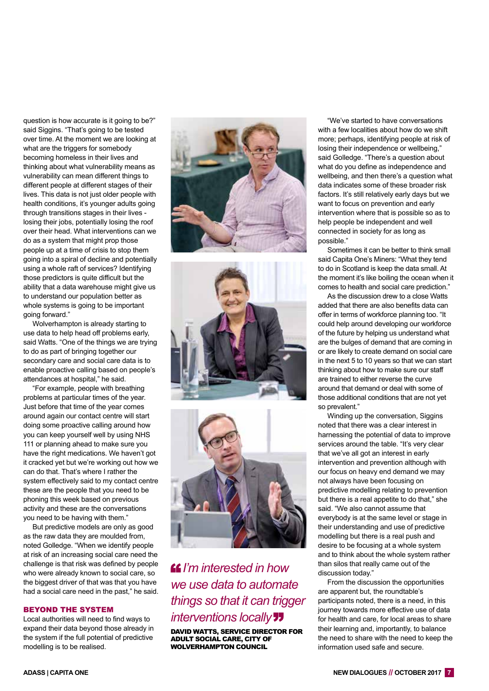question is how accurate is it going to be?" said Siggins. "That's going to be tested over time. At the moment we are looking at what are the triggers for somebody becoming homeless in their lives and thinking about what vulnerability means as vulnerability can mean different things to different people at different stages of their lives. This data is not just older people with health conditions, it's younger adults going through transitions stages in their lives losing their jobs, potentially losing the roof over their head. What interventions can we do as a system that might prop those people up at a time of crisis to stop them going into a spiral of decline and potentially using a whole raft of services? Identifying those predictors is quite difficult but the ability that a data warehouse might give us to understand our population better as whole systems is going to be important going forward."

Wolverhampton is already starting to use data to help head off problems early, said Watts. "One of the things we are trying to do as part of bringing together our secondary care and social care data is to enable proactive calling based on people's attendances at hospital," he said.

"For example, people with breathing problems at particular times of the year. Just before that time of the year comes around again our contact centre will start doing some proactive calling around how you can keep yourself well by using NHS 111 or planning ahead to make sure you have the right medications. We haven't got it cracked yet but we're working out how we can do that. That's where I rather the system effectively said to my contact centre these are the people that you need to be phoning this week based on previous activity and these are the conversations you need to be having with them."

But predictive models are only as good as the raw data they are moulded from, noted Golledge. "When we identify people at risk of an increasing social care need the challenge is that risk was defined by people who were already known to social care, so the biggest driver of that was that you have had a social care need in the past," he said.

#### BEYOND THE SYSTEM

Local authorities will need to find ways to expand their data beyond those already in the system if the full potential of predictive modelling is to be realised.







# *I'm interested in how we use data to automate things so that it can trigger interventions locally*

DAVID WATTS, SERVICE DIRECTOR FOR ADULT SOCIAL CARE, CITY OF WOLVERHAMPTON COUNCIL

"We've started to have conversations with a few localities about how do we shift more; perhaps, identifying people at risk of losing their independence or wellbeing," said Golledge. "There's a question about what do you define as independence and wellbeing, and then there's a question what data indicates some of these broader risk factors. It's still relatively early days but we want to focus on prevention and early intervention where that is possible so as to help people be independent and well connected in society for as long as possible."

Sometimes it can be better to think small said Capita One's Miners: "What they tend to do in Scotland is keep the data small. At the moment it's like boiling the ocean when it comes to health and social care prediction."

As the discussion drew to a close Watts added that there are also benefits data can offer in terms of workforce planning too. "It could help around developing our workforce of the future by helping us understand what are the bulges of demand that are coming in or are likely to create demand on social care in the next 5 to 10 years so that we can start thinking about how to make sure our staff are trained to either reverse the curve around that demand or deal with some of those additional conditions that are not yet so prevalent."

Winding up the conversation, Siggins noted that there was a clear interest in harnessing the potential of data to improve services around the table. "It's very clear that we've all got an interest in early intervention and prevention although with our focus on heavy end demand we may not always have been focusing on predictive modelling relating to prevention but there is a real appetite to do that," she said. "We also cannot assume that everybody is at the same level or stage in their understanding and use of predictive modelling but there is a real push and desire to be focusing at a whole system and to think about the whole system rather than silos that really came out of the discussion today."

From the discussion the opportunities are apparent but, the roundtable's participants noted, there is a need, in this journey towards more effective use of data for health and care, for local areas to share their learning and, importantly, to balance the need to share with the need to keep the information used safe and secure.